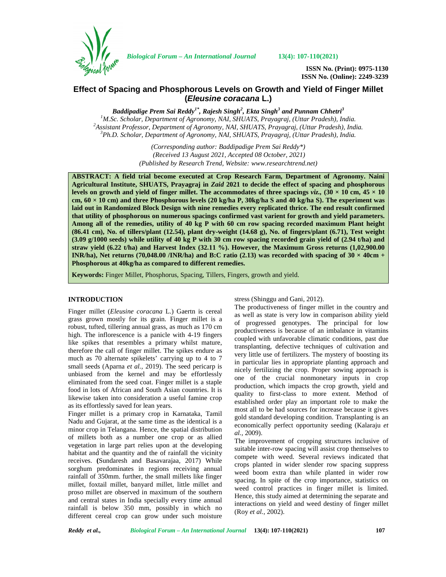

*Biological Forum – An International Journal* **13(4): 107-110(2021)**

**ISSN No. (Print): 0975-1130 ISSN No. (Online): 2249-3239**

# **Effect of Spacing and Phosphorous Levels on Growth and Yield of Finger Millet (***Eleusine coracana* **L.)**

*Baddipadige Prem Sai Reddy1\* , Rajesh Singh<sup>2</sup> , Ekta Singh<sup>3</sup> and Punnam Chhetri<sup>3</sup>* <sup>1</sup>M.Sc. Scholar, Department of Agronomy, NAI, SHUATS, Prayagraj, (Uttar Pradesh), India.<br><sup>2</sup>Assistant Professor, Department of Agronomy, NAI, SHUATS, Prayagraj, (Uttar Pradesh), India.<br><sup>3</sup>Ph.D. Scholar, Department of Agr

> *(Corresponding author: Baddipadige Prem Sai Reddy\*) (Received 13 August 2021, Accepted 08 October, 2021) (Published by Research Trend, Website: [www.researchtrend.net\)](www.researchtrend.net)*

**ABSTRACT: A field trial become executed at Crop Research Farm, Department of Agronomy. Naini Agricultural Institute, SHUATS, Prayagraj in** *Zaid* **2021 to decide the effect of spacing and phosphorous levels on growth and yield of finger millet. The accommodates of three spacings**  $viz, (30 \times 10 \text{ cm}, 45 \times 10 \text{ cm})$ **cm, 60 × 10 cm) and three Phosphorous levels (20 kg/ha P, 30kg/ha S and 40 kg/ha S). The experiment was laid out in Randomized Block Design with nine remedies every replicated thrice. The end result confirmed that utility of phosphorous on numerous spacings confirmed vast varient for growth and yield parameters. Among all of the remedies, utility of 40 kg P with 60 cm row spacing recorded maximum Plant height (86.41 cm), No. of tillers/plant (12.54), plant dry-weight (14.68 g), No. of fingers/plant (6.71), Test weight (3.09 g/1000 seeds) while utility of 40 kg P with 30 cm row spacing recorded grain yield of (2.94 t/ha) and straw yield (6.22 t/ha) and Harvest Index (32.11 %). However, the Maximum Gross returns (1,02,900.00 INR/ha), Net returns (70,048.00 /INR/ha) and B:C ratio (2.13) was recorded with spacing of**  $30 \times 40$ **cm + Phosphorous at 40kg/ha as compared to different remedies.**

**Keywords:** Finger Millet, Phosphorus, Spacing, Tillers, Fingers, growth and yield.

# **INTRODUCTION**

Finger millet (*Eleusine coracana* L.) Gaertn is cereal grass grown mostly for its grain. Finger millet is a robust, tufted, tillering annual grass, as much as 170 cm high. The inflorescence is a panicle with 4-19 fingers like spikes that resembles a primary whilst mature, therefore the call of finger millet. The spikes endure as much as 70 alternate spikelets' carrying up to 4 to 7 small seeds (Aparna *et al.,* 2019). The seed pericarp is unbiased from the kernel and may be effortlessly eliminated from the seed coat. Finger millet is a staple food in lots of African and South Asian countries. It is likewise taken into consideration a useful famine crop as its effortlessly saved for lean years.

Finger millet is a primary crop in Karnataka, Tamil Nadu and Gujarat, at the same time as the identical is a minor crop in Telangana. Hence, the spatial distribution of millets both as a number one crop or as allied vegetation in large part relies upon at the developing habitat and the quantity and the of rainfall the vicinity receives. **(**Sundaresh and Basavarajaa, 2017) While sorghum predominates in regions receiving annual rainfall of 350mm. further, the small millets like finger millet, foxtail millet, banyard millet, little millet and proso millet are observed in maximum of the southern and central states in India specially every time annual rainfall is below 350 mm, possibly in which no different cereal crop can grow under such moisture stress (Shinggu and Gani, 2012).

The productiveness of finger millet in the country and as well as state is very low in comparison ability yield of progressed genotypes. The principal for low productiveness is because of an imbalance in vitamins coupled with unfavorable climatic conditions, past due transplanting, defective techniques of cultivation and very little use of fertilizers. The mystery of boosting its in particular lies in appropriate planting approach and nicely fertilizing the crop. Proper sowing approach is one of the crucial nonmonetary inputs in crop production, which impacts the crop growth, yield and quality to first-class to more extent. Method of established order play an important role to make the most all to be had sources for increase because it gives gold standard developing condition. Transplanting is an economically perfect opportunity seeding (Kalaraju *et al.,* 2009).

The improvement of cropping structures inclusive of suitable inter-row spacing will assist crop themselves to compete with weed. Several reviews indicated that crops planted in wider slender row spacing suppress weed boom extra than while planted in wider row spacing. In spite of the crop importance, statistics on weed control practices in finger millet is limited. Hence, this study aimed at determining the separate and interactions on yield and weed destiny of finger millet (Roy *et al.,* 2002).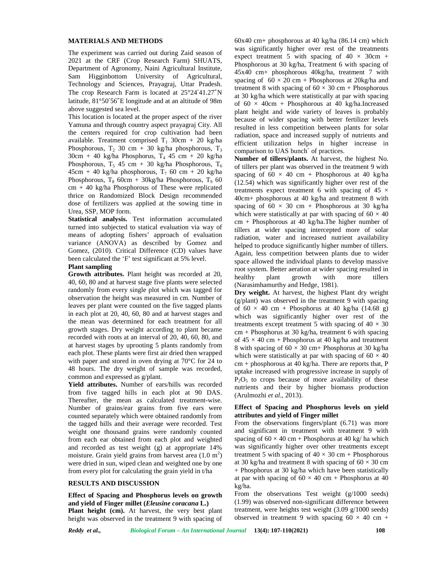### **MATERIALS AND METHODS**

The experiment was carried out during Zaid season of 2021 at the CRF (Crop Research Farm) SHUATS, Department of Agronomy, Naini Agricultural Institute, Sam Higginbottom University of Agricultural, Technology and Sciences, Prayagraj, Uttar Pradesh. The crop Research Farm is located at 25°24′41.27″N latitude, 81°50′56″E longitude and at an altitude of 98m above suggested sea level.

This location is located at the proper aspect of the river Yamuna and through country aspect prayagraj City. All the centers required for crop cultivation had been available. Treatment comprised  $T_1$  30cm + 20 kg/ha Phosphorous,  $T_2$  30 cm + 30 kg/ha phosphorous,  $T_3$  $30cm + 40$  kg/ha Phosphorus,  $T_4$  45 cm + 20 kg/ha Phosphorous, T<sub>5</sub> 45 cm + 30 kg/ha Phosphorous, T<sub>6</sub>  $45cm + 40$  kg/ha phosphorous,  $T_7$  60 cm + 20 kg/ha Phosphorous,  $T_8$  60cm + 30kg/ha Phosphorous,  $T_9$  60  $cm + 40$  kg/ha Phosphorous of These were replicated thrice on Randomized Block Design recommended dose of fertilizers was applied at the sowing time in Urea, SSP, MOP form.

**Statistical analysis.** Test information accumulated turned into subjected to statical evaluation via way of means of adopting fishers' approach of evaluation variance (ANOVA) as described by Gomez and Gomez, (2010). Critical Difference (CD) values have been calculated the 'F' test significant at 5% level.

### **Plant sampling**

**Growth attributes.** Plant height was recorded at 20, healthy 40, 60, 80 and at harvest stage five plants were selected randomly from every single plot which was tagged for observation the height was measured in cm. Number of leaves per plant were counted on the five tagged plants in each plot at 20, 40, 60, 80 and at harvest stages and the mean was determined for each treatment for all growth stages. Dry weight according to plant became recorded with roots at an interval of 20, 40, 60, 80, and at harvest stages by uprooting 5 plants randomly from each plot. These plants were first air dried then wrapped with paper and stored in oven drying at 70°C for 24 to 48 hours. The dry weight of sample was recorded, common and expressed as g/plant.

**Yield attributes.** Number of ears/hills was recorded from five tagged hills in each plot at 90 DAS. Thereafter, the mean as calculated treatment-wise. Number of grains/ear grains from five ears were counted separately which were obtained randomly from the tagged hills and their average were recorded. Test weight one thousand grains were randomly counted from each ear obtained from each plot and weighted and recorded as test weight (g) at appropriate 14% moisture. Grain yield grains from harvest area  $(1.0 \text{ m}^2)$ were dried in sun, wiped clean and weighted one by one from every plot for calculating the grain yield in t/ha

## **RESULTS AND DISCUSSION**

**Effect of Spacing and Phosphorus levels on growth and yield of Finger millet (***Eleusine coracana* **L.) Plant height (cm).** At harvest, the very best plant

height was observed in the treatment 9 with spacing of

 $60x40$  cm+ phosphorous at 40 kg/ha  $(86.14$  cm) which was significantly higher over rest of the treatments expect treatment 5 with spacing of  $40 \times 30$ cm + Phosphorous at 30 kg/ha, Treatment 6 with spacing of 45x40 cm+ phosphorous 40kg/ha, treatment 7 with spacing of  $60 \times 20$  cm + Phosphorous at 20kg/ha and treatment 8 with spacing of  $60 \times 30$  cm + Phosphorous at 30 kg/ha which were statistically at par with spacing of  $60 \times 40$ cm + Phosphorous at 40 kg/ha.Increased plant height and wide variety of leaves is probably because of wider spacing with better fertilizer levels resulted in less competition between plants for solar radiation, space and increased supply of nutrients and efficient utilization helps in higher increase in comparison to UAS bunch` of practices.

**Number of tillers/plants.** At harvest, the highest No. of tillers per plant was observed in the treatment 9 with spacing of  $60 \times 40$  cm + Phosphorous at 40 kg/ha (12.54) which was significantly higher over rest of the treatments expect treatment 6 with spacing of  $45 \times$ 40cm+ phosphorous at 40 kg/ha and treatment 8 with spacing of  $60 \times 30$  cm + Phosphorous at 30 kg/ha which were statistically at par with spacing of  $60 \times 40$ cm + Phosphorous at 40 kg/ha.The higher number of tillers at wider spacing intercepted more of solar radiation, water and increased nutrient availability helped to produce significantly higher number of tillers. Again, less competition between plants due to wider space allowed the individual plants to develop massive root system. Better aeration at wider spacing resulted in plant growth with more tillers (Narasimhamurthy and Hedge, 1981).

**Dry weight.** At harvest, the highest Plant dry weight (g/plant) was observed in the treatment 9 with spacing of  $60 \times 40$  cm + Phosphorus at 40 kg/ha (14.68 g) which was significantly higher over rest of the treatments except treatment 5 with spacing of  $40 \times 30$ cm + Phosphorus at 30 kg/ha, treatment 6 with spacing of  $45 \times 40$  cm + Phosphorus at 40 kg/ha and treatment 8 with spacing of  $60 \times 30$  cm+ Phosphorus at 30 kg/ha which were statistically at par with spacing of  $60 \times 40$ cm + phosphorous at 40 kg/ha. There are reports that, P uptake increased with progressive increase in supply of  $P_2O_5$  to crops because of more availability of these nutrients and their by higher biomass production (Arulmozhi *et al.,* 2013).

#### **Effect of Spacing and Phosphorus levels on yield attributes and yield of Finger millet**

From the observations fingers/plant (6.71) was more and significant in treatment with treatment 9 with spacing of  $60 \times 40$  cm + Phosphorus at 40 kg/ ha which was significantly higher over other treatments except treatment 5 with spacing of  $40 \times 30$  cm + Phosphorous at 30 kg/ha and treatment 8 with spacing of  $60 \times 30$  cm + Phosphorus at 30 kg/ha which have been statistically at par with spacing of  $60 \times 40$  cm + Phosphorus at 40 kg/ha.

From the observations Test weight (g/1000 seeds) (1.99) was observed non-significant difference between treatment, were heights test weight  $(3.09 \text{ g}/1000 \text{ seeds})$ observed in treatment 9 with spacing  $60 \times 40$  cm +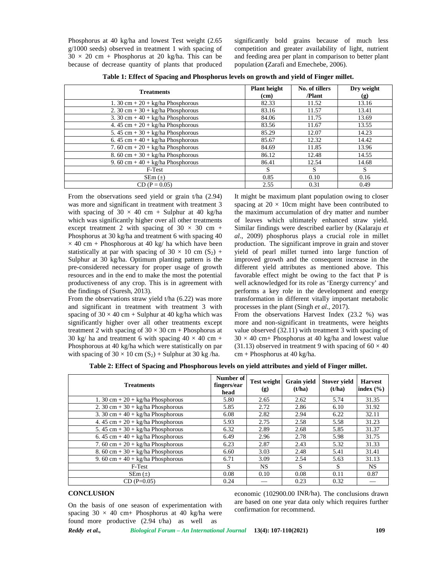Phosphorus at 40 kg/ha and lowest Test weight (2.65 g/1000 seeds) observed in treatment 1 with spacing of  $30 \times 20$  cm + Phosphorus at 20 kg/ha. This can be because of decrease quantity of plants that produced

significantly bold grains because of much less competition and greater availability of light, nutrient and feeding area per plant in comparison to better plant population **(**Zarafi and Emechebe, 2006).

| <b>Treatments</b>                                            | <b>Plant height</b><br>(cm) | No. of tillers<br>/Plant | Dry weight<br>(g) |  |
|--------------------------------------------------------------|-----------------------------|--------------------------|-------------------|--|
| 1. 30 cm + $20 + \text{kg/ha Phosphorous}$                   | 82.33                       | 11.52                    | 13.16             |  |
| 2. 30 cm + $30 + \text{kg/ha Phosphorous}$                   | 83.16                       | 11.57                    | 13.41             |  |
| 3. 30 cm + $40 + \text{kg/ha Phosphorous}$                   | 84.06                       | 11.75                    | 13.69             |  |
| 4. 45 cm + $20 + \text{kg/ha Phosphorous}$                   | 83.56                       | 11.67                    | 13.55             |  |
| $\overline{5.45 \text{ cm}} + 30 + \text{kg/ha Phosphorous}$ | 85.29                       | 12.07                    | 14.23             |  |
| 6. 45 cm + $40 + \text{kg/ha Phosphorous}$                   | 85.67                       | 12.32                    | 14.42             |  |
| 7. 60 cm + $20 + \text{kg/ha Phosphorous}$                   | 84.69                       | 11.85                    | 13.96             |  |
| 8. 60 cm + $30 + \text{kg/ha Phosphorous}$                   | 86.12                       | 12.48                    | 14.55             |  |
| 9. 60 cm + 40 + $\text{kg/ha Phosphorous}$                   | 86.41                       | 12.54                    | 14.68             |  |
| F-Test                                                       | S                           | S                        | S                 |  |
| $SEM(\pm)$                                                   | 0.85                        | 0.10                     | 0.16              |  |
| $CD (P = 0.05)$                                              | 2.55                        | 0.31                     | 0.49              |  |

**Table 1: Effect of Spacing and Phosphorus levels on growth and yield of Finger millet.**

From the observations seed yield or grain t/ha (2.94) was more and significant in treatment with treatment 3 with spacing of  $30 \times 40$  cm + Sulphur at 40 kg/ha which was significantly higher over all other treatments except treatment 2 with spacing of  $30 \times 30$  cm + Phosphorus at 30 kg/ha and treatment 6 with spacing 40  $\times$  40 cm + Phosphorous at 40 kg/ ha which have been statistically at par with spacing of  $30 \times 10$  cm  $(S_2)$  + Sulphur at 30 kg/ha. Optimum planting pattern is the pre-considered necessary for proper usage of growth resources and in the end to make the most the potential productiveness of any crop. This is in agreement with the findings of (Suresh, 2013).

From the observations straw yield t/ha (6.22) was more and significant in treatment with treatment 3 with spacing of  $30 \times 40$  cm + Sulphur at 40 kg/ha which was significantly higher over all other treatments except treatment 2 with spacing of  $30 \times 30$  cm + Phosphorus at 30 kg/ ha and treatment 6 with spacing  $40 \times 40$  cm + Phosphorous at 40 kg/ha which were statistically on par with spacing of  $30 \times 10$  cm  $(S_2)$  + Sulphur at 30 kg/ha.

It might be maximum plant population owing to closer spacing at  $20 \times 10$ cm might have been contributed to the maximum accumulation of dry matter and number of leaves which ultimately enhanced straw yield. Similar findings were described earlier by (Kalaraju *et al*., 2009) phosphorus plays a crucial role in millet production. The significant improve in grain and stover yield of pearl millet turned into large function of improved growth and the consequent increase in the different yield attributes as mentioned above. This favorable effect might be owing to the fact that P is well acknowledged for its role as 'Energy currency' and performs a key role in the development and energy transformation in different vitally important metabolic processes in the plant (Singh *et al.,* 2017).

From the observations Harvest Index (23.2 %) was more and non-significant in treatments, were heights value observed (32.11) with treatment 3 with spacing of  $30 \times 40$  cm+ Phosphorus at 40 kg/ha and lowest value (31.13) observed in treatment 9 with spacing of  $60 \times 40$ cm + Phosphorus at 40 kg/ha.

| <b>Treatments</b>                                  | Number of<br>fingers/ear<br>head | <b>Test weight</b><br>(g) | <b>Grain</b> yield<br>(t/ha) | <b>Stover yield</b><br>(t/ha) | <b>Harvest</b><br>index $(\% )$ |
|----------------------------------------------------|----------------------------------|---------------------------|------------------------------|-------------------------------|---------------------------------|
| 1. 30 cm + $20 + \text{kg/ha Phosphorous}$         | 5.80                             | 2.65                      | 2.62                         | 5.74                          | 31.35                           |
| 2. 30 cm + $30 + \text{kg/ha Phosphorous}$         | 5.85                             | 2.72                      | 2.86                         | 6.10                          | 31.92                           |
| 3. 30 cm + $40 + \text{kg/ha Phosphorous}$         | 6.08                             | 2.82                      | 2.94                         | 6.22                          | 32.11                           |
| 4. $45 \text{ cm} + 20 + \text{kg/ha Phosphorous}$ | 5.93                             | 2.75                      | 2.58                         | 5.58                          | 31.23                           |
| 5. $45 \text{ cm} + 30 + \text{kg/ha Phosphorous}$ | 6.32                             | 2.89                      | 2.68                         | 5.85                          | 31.37                           |
| 6. 45 cm + 40 + $kg/ha$ Phosphorous                | 6.49                             | 2.96                      | 2.78                         | 5.98                          | 31.75                           |
| 7.60 cm + $20 + \text{kg/ha Phosphorous}$          | 6.23                             | 2.87                      | 2.43                         | 5.32                          | 31.33                           |
| 8. 60 cm + $30 + \text{kg/ha Phosphorous}$         | 6.60                             | 3.03                      | 2.48                         | 5.41                          | 31.41                           |
| 9. 60 cm + 40 + $kg/ha$ Phosphorous                | 6.71                             | 3.09                      | 2.54                         | 5.63                          | 31.13                           |
| F-Test                                             | S.                               | NS.                       | S                            | S                             | NS.                             |
| $SEm(\pm)$                                         | 0.08                             | 0.10                      | 0.08                         | 0.11                          | 0.87                            |
| $CD(P=0.05)$                                       | 0.24                             |                           | 0.23                         | 0.32                          |                                 |

## **CONCLUSION**

On the basis of one season of experimentation with spacing  $30 \times 40$  cm+ Phosphorus at 40 kg/ha were found more productive (2.94 t/ha) as well as

economic (102900.00 INR/ha). The conclusions drawn are based on one year data only which requires further confirmation for recommend.